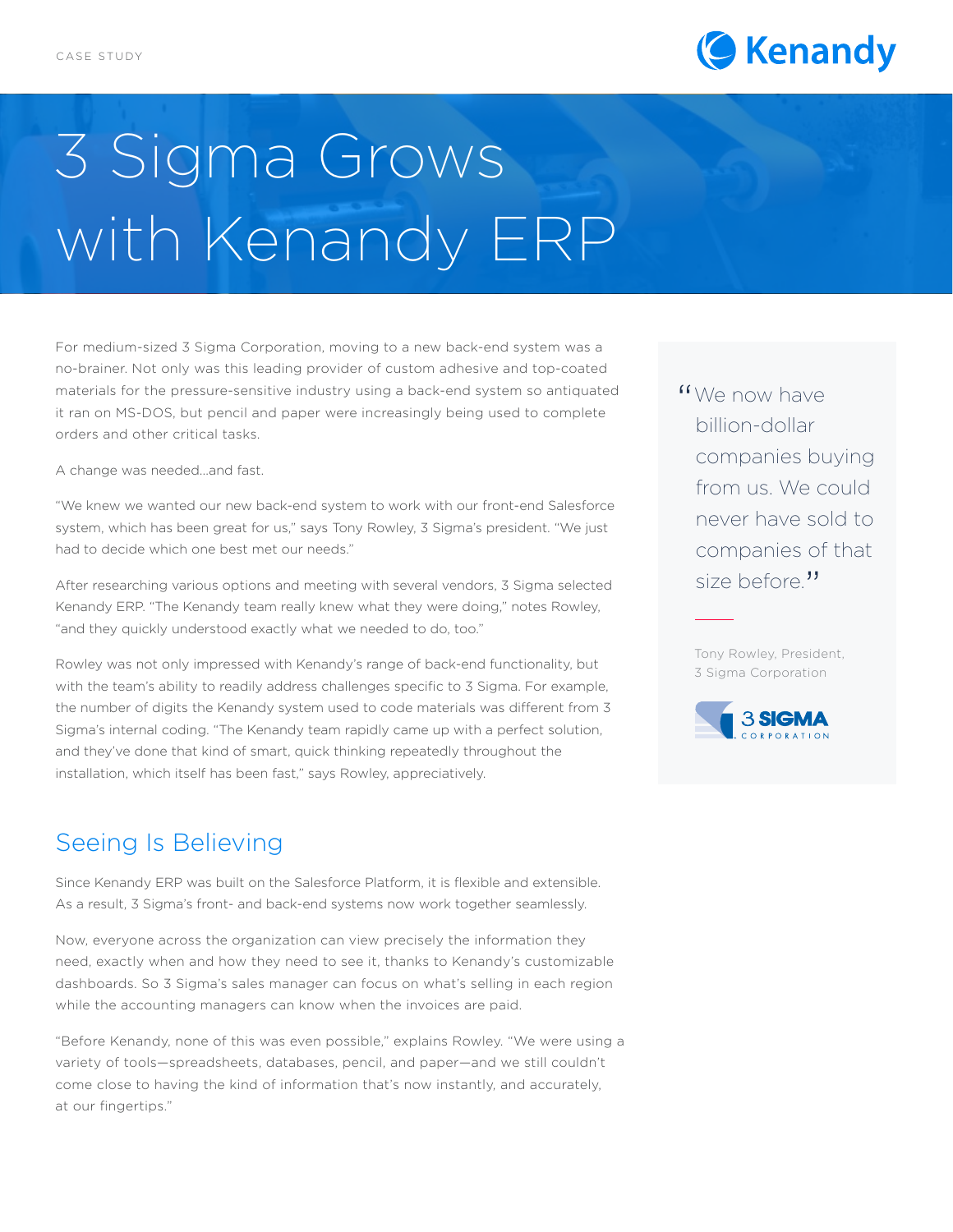

## 3 Sigma Grows with Kenandy ERP

For medium-sized 3 Sigma Corporation, moving to a new back-end system was a no-brainer. Not only was this leading provider of custom adhesive and top-coated materials for the pressure-sensitive industry using a back-end system so antiquated it ran on MS-DOS, but pencil and paper were increasingly being used to complete orders and other critical tasks.

A change was needed...and fast.

"We knew we wanted our new back-end system to work with our front-end Salesforce system, which has been great for us," says Tony Rowley, 3 Sigma's president. "We just had to decide which one best met our needs."

After researching various options and meeting with several vendors, 3 Sigma selected Kenandy ERP. "The Kenandy team really knew what they were doing," notes Rowley, "and they quickly understood exactly what we needed to do, too."

Rowley was not only impressed with Kenandy's range of back-end functionality, but with the team's ability to readily address challenges specific to 3 Sigma. For example, the number of digits the Kenandy system used to code materials was different from 3 Sigma's internal coding. "The Kenandy team rapidly came up with a perfect solution, and they've done that kind of smart, quick thinking repeatedly throughout the installation, which itself has been fast," says Rowley, appreciatively.

## Seeing Is Believing

Since Kenandy ERP was built on the Salesforce Platform, it is flexible and extensible. As a result, 3 Sigma's front- and back-end systems now work together seamlessly.

Now, everyone across the organization can view precisely the information they need, exactly when and how they need to see it, thanks to Kenandy's customizable dashboards. So 3 Sigma's sales manager can focus on what's selling in each region while the accounting managers can know when the invoices are paid.

"Before Kenandy, none of this was even possible," explains Rowley. "We were using a variety of tools—spreadsheets, databases, pencil, and paper—and we still couldn't come close to having the kind of information that's now instantly, and accurately, at our fingertips."

"We now have<br>billion-dollar billion-dollar companies buying from us. We could never have sold to companies of that size before."

Tony Rowley, President, 3 Sigma Corporation